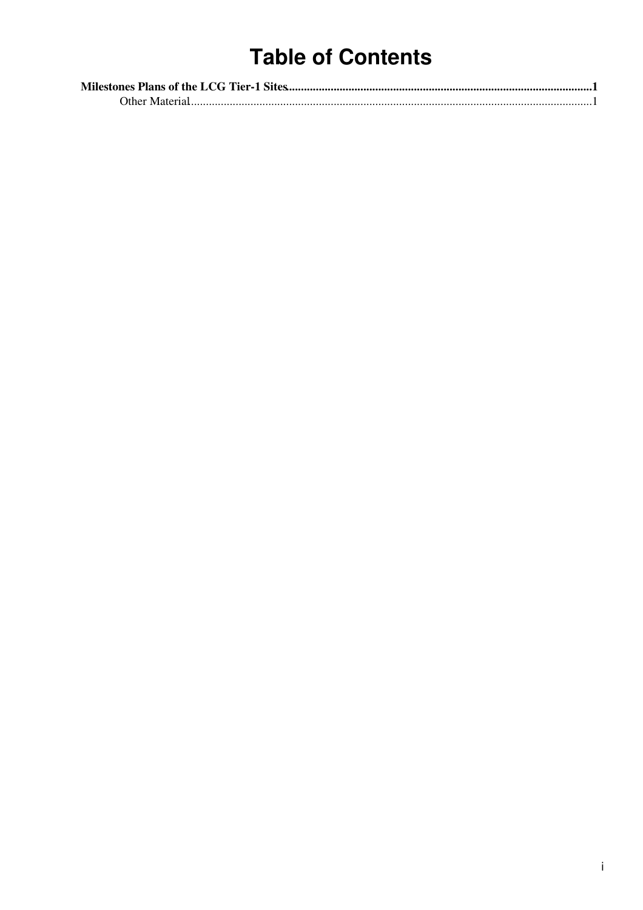# **Table of Contents**